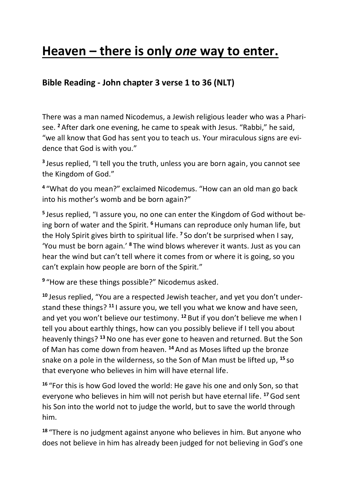# **Heaven – there is only** *one* **way to enter.**

# **Bible Reading - John chapter 3 verse 1 to 36 (NLT)**

There was a man named Nicodemus, a Jewish religious leader who was a Pharisee. **<sup>2</sup>** After dark one evening, he came to speak with Jesus. "Rabbi," he said, "we all know that God has sent you to teach us. Your miraculous signs are evidence that God is with you."

**3** Jesus replied, "I tell you the truth, unless you are born again, you cannot see the Kingdom of God."

**4** "What do you mean?" exclaimed Nicodemus. "How can an old man go back into his mother's womb and be born again?"

**5** Jesus replied, "I assure you, no one can enter the Kingdom of God without being born of water and the Spirit. <sup>6</sup> Humans can reproduce only human life, but the Holy Spirit gives birth to spiritual life. **<sup>7</sup>** So don't be surprised when I say, 'You must be born again.' **<sup>8</sup>** The wind blows wherever it wants. Just as you can hear the wind but can't tell where it comes from or where it is going, so you can't explain how people are born of the Spirit."

**9** "How are these things possible?" Nicodemus asked.

**<sup>10</sup>** Jesus replied, "You are a respected Jewish teacher, and yet you don't understand these things? **<sup>11</sup>** I assure you, we tell you what we know and have seen, and yet you won't believe our testimony. **<sup>12</sup>** But if you don't believe me when I tell you about earthly things, how can you possibly believe if I tell you about heavenly things? **<sup>13</sup>**No one has ever gone to heaven and returned. But the Son of Man has come down from heaven. **<sup>14</sup>** And as Moses lifted up the bronze snake on a pole in the wilderness, so the Son of Man must be lifted up, **<sup>15</sup>** so that everyone who believes in him will have eternal life.

**<sup>16</sup>** "For this is how God loved the world: He gave his one and only Son, so that everyone who believes in him will not perish but have eternal life. **<sup>17</sup>**God sent his Son into the world not to judge the world, but to save the world through him.

**<sup>18</sup>** "There is no judgment against anyone who believes in him. But anyone who does not believe in him has already been judged for not believing in God's one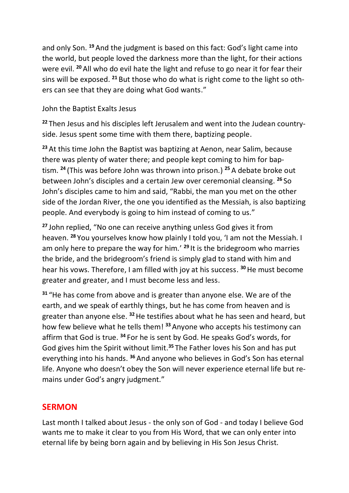and only Son. **<sup>19</sup>** And the judgment is based on this fact: God's light came into the world, but people loved the darkness more than the light, for their actions were evil. **<sup>20</sup>** All who do evil hate the light and refuse to go near it for fear their sins will be exposed. **<sup>21</sup>** But those who do what is right come to the light so others can see that they are doing what God wants."

#### John the Baptist Exalts Jesus

**<sup>22</sup>** Then Jesus and his disciples left Jerusalem and went into the Judean countryside. Jesus spent some time with them there, baptizing people.

**<sup>23</sup>** At this time John the Baptist was baptizing at Aenon, near Salim, because there was plenty of water there; and people kept coming to him for baptism. **<sup>24</sup>** (This was before John was thrown into prison.) **<sup>25</sup>** A debate broke out between John's disciples and a certain Jew over ceremonial cleansing. **<sup>26</sup>** So John's disciples came to him and said, "Rabbi, the man you met on the other side of the Jordan River, the one you identified as the Messiah, is also baptizing people. And everybody is going to him instead of coming to us."

**<sup>27</sup>** John replied, "No one can receive anything unless God gives it from heaven. **<sup>28</sup>** You yourselves know how plainly I told you, 'I am not the Messiah. I am only here to prepare the way for him.' **<sup>29</sup>** It is the bridegroom who marries the bride, and the bridegroom's friend is simply glad to stand with him and hear his vows. Therefore, I am filled with joy at his success. **<sup>30</sup>**He must become greater and greater, and I must become less and less.

**<sup>31</sup>** "He has come from above and is greater than anyone else. We are of the earth, and we speak of earthly things, but he has come from heaven and is greater than anyone else. **<sup>32</sup>**He testifies about what he has seen and heard, but how few believe what he tells them! **<sup>33</sup>** Anyone who accepts his testimony can affirm that God is true. **<sup>34</sup>** For he is sent by God. He speaks God's words, for God gives him the Spirit without limit. **<sup>35</sup>** The Father loves his Son and has put everything into his hands. **<sup>36</sup>** And anyone who believes in God's Son has eternal life. Anyone who doesn't obey the Son will never experience eternal life but remains under God's angry judgment."

#### **SERMON**

Last month I talked about Jesus - the only son of God - and today I believe God wants me to make it clear to you from His Word, that we can only enter into eternal life by being born again and by believing in His Son Jesus Christ.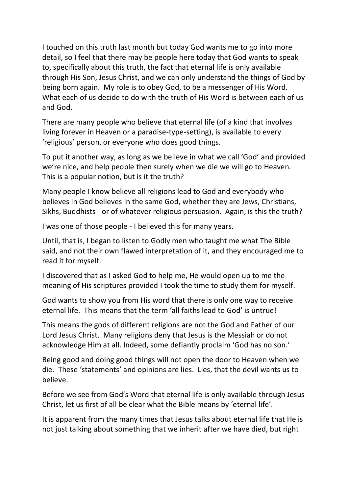I touched on this truth last month but today God wants me to go into more detail, so I feel that there may be people here today that God wants to speak to, specifically about this truth, the fact that eternal life is only available through His Son, Jesus Christ, and we can only understand the things of God by being born again. My role is to obey God, to be a messenger of His Word. What each of us decide to do with the truth of His Word is between each of us and God.

There are many people who believe that eternal life (of a kind that involves living forever in Heaven or a paradise-type-setting), is available to every 'religious' person, or everyone who does good things.

To put it another way, as long as we believe in what we call 'God' and provided we're nice, and help people then surely when we die we will go to Heaven. This is a popular notion, but is it the truth?

Many people I know believe all religions lead to God and everybody who believes in God believes in the same God, whether they are Jews, Christians, Sikhs, Buddhists - or of whatever religious persuasion. Again, is this the truth?

I was one of those people - I believed this for many years.

Until, that is, I began to listen to Godly men who taught me what The Bible said, and not their own flawed interpretation of it, and they encouraged me to read it for myself.

I discovered that as I asked God to help me, He would open up to me the meaning of His scriptures provided I took the time to study them for myself.

God wants to show you from His word that there is only one way to receive eternal life. This means that the term 'all faiths lead to God' is untrue!

This means the gods of different religions are not the God and Father of our Lord Jesus Christ. Many religions deny that Jesus is the Messiah or do not acknowledge Him at all. Indeed, some defiantly proclaim 'God has no son.'

Being good and doing good things will not open the door to Heaven when we die. These 'statements' and opinions are lies. Lies, that the devil wants us to believe.

Before we see from God's Word that eternal life is only available through Jesus Christ, let us first of all be clear what the Bible means by 'eternal life'.

It is apparent from the many times that Jesus talks about eternal life that He is not just talking about something that we inherit after we have died, but right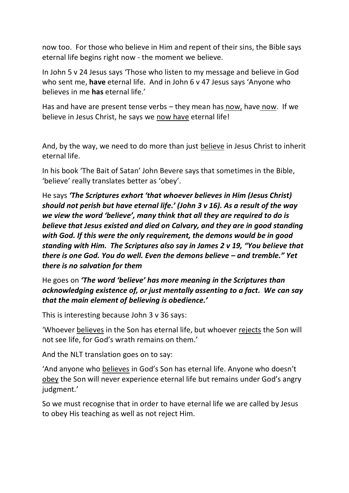now too. For those who believe in Him and repent of their sins, the Bible says eternal life begins right now - the moment we believe.

In John 5 v 24 Jesus says 'Those who listen to my message and believe in God who sent me, **have** eternal life. And in John 6 v 47 Jesus says 'Anyone who believes in me **has** eternal life.'

Has and have are present tense verbs – they mean has now, have now. If we believe in Jesus Christ, he says we now have eternal life!

And, by the way, we need to do more than just believe in Jesus Christ to inherit eternal life.

In his book 'The Bait of Satan' John Bevere says that sometimes in the Bible, 'believe' really translates better as 'obey'.

He says *'The Scriptures exhort 'that whoever believes in Him (Jesus Christ) should not perish but have eternal life.' (John 3 v 16). As a result of the way we view the word 'believe', many think that all they are required to do is believe that Jesus existed and died on Calvary, and they are in good standing with God. If this were the only requirement, the demons would be in good standing with Him. The Scriptures also say in James 2 v 19, "You believe that there is one God. You do well. Even the demons believe – and tremble." Yet there is no salvation for them*

He goes on *'The word 'believe' has more meaning in the Scriptures than acknowledging existence of, or just mentally assenting to a fact. We can say that the main element of believing is obedience.'*

This is interesting because John 3 v 36 says:

'Whoever believes in the Son has eternal life, but whoever rejects the Son will not see life, for God's wrath remains on them.'

And the NLT translation goes on to say:

'And anyone who believes in God's Son has eternal life. Anyone who doesn't obey the Son will never experience eternal life but remains under God's angry judgment.'

So we must recognise that in order to have eternal life we are called by Jesus to obey His teaching as well as not reject Him.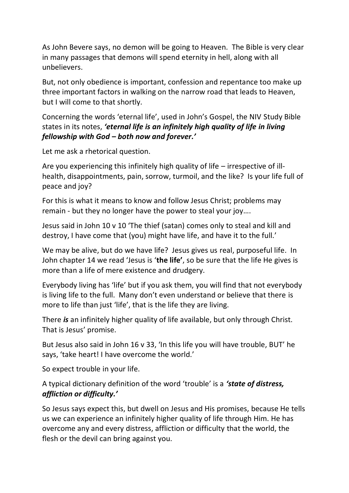As John Bevere says, no demon will be going to Heaven. The Bible is very clear in many passages that demons will spend eternity in hell, along with all unbelievers.

But, not only obedience is important, confession and repentance too make up three important factors in walking on the narrow road that leads to Heaven, but I will come to that shortly.

Concerning the words 'eternal life', used in John's Gospel, the NIV Study Bible states in its notes, *'eternal life is an infinitely high quality of life in living fellowship with God – both now and forever.'*

Let me ask a rhetorical question.

Are you experiencing this infinitely high quality of life – irrespective of illhealth, disappointments, pain, sorrow, turmoil, and the like? Is your life full of peace and joy?

For this is what it means to know and follow Jesus Christ; problems may remain - but they no longer have the power to steal your joy….

Jesus said in John 10 v 10 'The thief (satan) comes only to steal and kill and destroy, I have come that (you) might have life, and have it to the full.'

We may be alive, but do we have life? Jesus gives us real, purposeful life. In John chapter 14 we read 'Jesus is '**the life'**, so be sure that the life He gives is more than a life of mere existence and drudgery.

Everybody living has 'life' but if you ask them, you will find that not everybody is living life to the full. Many don't even understand or believe that there is more to life than just 'life', that is the life they are living.

There *is* an infinitely higher quality of life available, but only through Christ. That is Jesus' promise.

But Jesus also said in John 16 v 33, 'In this life you will have trouble, BUT' he says, 'take heart! I have overcome the world.'

So expect trouble in your life.

A typical dictionary definition of the word 'trouble' is a *'state of distress, affliction or difficulty.'*

So Jesus says expect this, but dwell on Jesus and His promises, because He tells us we can experience an infinitely higher quality of life through Him. He has overcome any and every distress, affliction or difficulty that the world, the flesh or the devil can bring against you.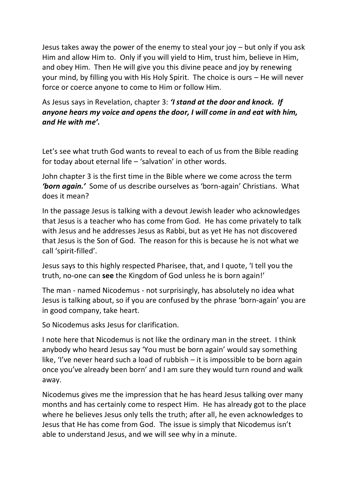Jesus takes away the power of the enemy to steal your joy – but only if you ask Him and allow Him to. Only if you will yield to Him, trust him, believe in Him, and obey Him. Then He will give you this divine peace and joy by renewing your mind, by filling you with His Holy Spirit. The choice is ours – He will never force or coerce anyone to come to Him or follow Him.

### As Jesus says in Revelation, chapter 3: *'I stand at the door and knock. If anyone hears my voice and opens the door, I will come in and eat with him, and He with me'.*

Let's see what truth God wants to reveal to each of us from the Bible reading for today about eternal life – 'salvation' in other words.

John chapter 3 is the first time in the Bible where we come across the term *'born again.'* Some of us describe ourselves as 'born-again' Christians. What does it mean?

In the passage Jesus is talking with a devout Jewish leader who acknowledges that Jesus is a teacher who has come from God. He has come privately to talk with Jesus and he addresses Jesus as Rabbi, but as yet He has not discovered that Jesus is the Son of God. The reason for this is because he is not what we call 'spirit-filled'.

Jesus says to this highly respected Pharisee, that, and I quote, 'I tell you the truth, no-one can **see** the Kingdom of God unless he is born again!'

The man - named Nicodemus - not surprisingly, has absolutely no idea what Jesus is talking about, so if you are confused by the phrase 'born-again' you are in good company, take heart.

So Nicodemus asks Jesus for clarification.

I note here that Nicodemus is not like the ordinary man in the street. I think anybody who heard Jesus say 'You must be born again' would say something like, 'I've never heard such a load of rubbish – it is impossible to be born again once you've already been born' and I am sure they would turn round and walk away.

Nicodemus gives me the impression that he has heard Jesus talking over many months and has certainly come to respect Him. He has already got to the place where he believes Jesus only tells the truth; after all, he even acknowledges to Jesus that He has come from God. The issue is simply that Nicodemus isn't able to understand Jesus, and we will see why in a minute.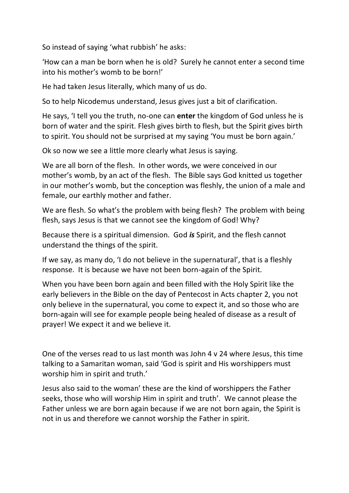So instead of saying 'what rubbish' he asks:

'How can a man be born when he is old? Surely he cannot enter a second time into his mother's womb to be born!'

He had taken Jesus literally, which many of us do.

So to help Nicodemus understand, Jesus gives just a bit of clarification.

He says, 'I tell you the truth, no-one can **enter** the kingdom of God unless he is born of water and the spirit. Flesh gives birth to flesh, but the Spirit gives birth to spirit. You should not be surprised at my saying 'You must be born again.'

Ok so now we see a little more clearly what Jesus is saying.

We are all born of the flesh. In other words, we were conceived in our mother's womb, by an act of the flesh. The Bible says God knitted us together in our mother's womb, but the conception was fleshly, the union of a male and female, our earthly mother and father.

We are flesh. So what's the problem with being flesh? The problem with being flesh, says Jesus is that we cannot see the kingdom of God! Why?

Because there is a spiritual dimension. God *is* Spirit, and the flesh cannot understand the things of the spirit.

If we say, as many do, 'I do not believe in the supernatural', that is a fleshly response. It is because we have not been born-again of the Spirit.

When you have been born again and been filled with the Holy Spirit like the early believers in the Bible on the day of Pentecost in Acts chapter 2, you not only believe in the supernatural, you come to expect it, and so those who are born-again will see for example people being healed of disease as a result of prayer! We expect it and we believe it.

One of the verses read to us last month was John 4 v 24 where Jesus, this time talking to a Samaritan woman, said 'God is spirit and His worshippers must worship him in spirit and truth.'

Jesus also said to the woman' these are the kind of worshippers the Father seeks, those who will worship Him in spirit and truth'. We cannot please the Father unless we are born again because if we are not born again, the Spirit is not in us and therefore we cannot worship the Father in spirit.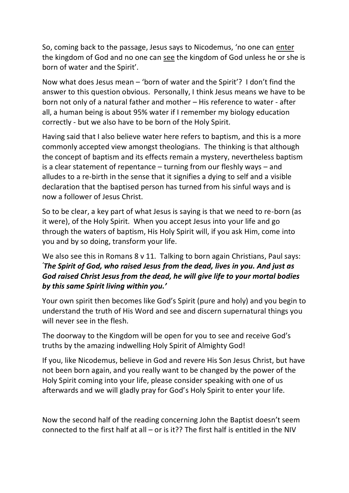So, coming back to the passage, Jesus says to Nicodemus, 'no one can enter the kingdom of God and no one can see the kingdom of God unless he or she is born of water and the Spirit'.

Now what does Jesus mean – 'born of water and the Spirit'? I don't find the answer to this question obvious. Personally, I think Jesus means we have to be born not only of a natural father and mother – His reference to water - after all, a human being is about 95% water if I remember my biology education correctly - but we also have to be born of the Holy Spirit.

Having said that I also believe water here refers to baptism, and this is a more commonly accepted view amongst theologians. The thinking is that although the concept of baptism and its effects remain a mystery, nevertheless baptism is a clear statement of repentance – turning from our fleshly ways – and alludes to a re-birth in the sense that it signifies a dying to self and a visible declaration that the baptised person has turned from his sinful ways and is now a follower of Jesus Christ.

So to be clear, a key part of what Jesus is saying is that we need to re-born (as it were), of the Holy Spirit. When you accept Jesus into your life and go through the waters of baptism, His Holy Spirit will, if you ask Him, come into you and by so doing, transform your life.

We also see this in Romans 8 v 11. Talking to born again Christians, Paul says: *'The Spirit of God, who raised Jesus from the dead, lives in you. And just as God raised Christ Jesus from the dead, he will give life to your mortal bodies by this same Spirit living within you.'*

Your own spirit then becomes like God's Spirit (pure and holy) and you begin to understand the truth of His Word and see and discern supernatural things you will never see in the flesh.

The doorway to the Kingdom will be open for you to see and receive God's truths by the amazing indwelling Holy Spirit of Almighty God!

If you, like Nicodemus, believe in God and revere His Son Jesus Christ, but have not been born again, and you really want to be changed by the power of the Holy Spirit coming into your life, please consider speaking with one of us afterwards and we will gladly pray for God's Holy Spirit to enter your life.

Now the second half of the reading concerning John the Baptist doesn't seem connected to the first half at all – or is it?? The first half is entitled in the NIV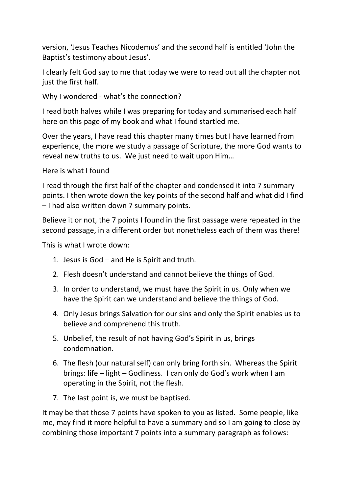version, 'Jesus Teaches Nicodemus' and the second half is entitled 'John the Baptist's testimony about Jesus'.

I clearly felt God say to me that today we were to read out all the chapter not just the first half.

Why I wondered - what's the connection?

I read both halves while I was preparing for today and summarised each half here on this page of my book and what I found startled me.

Over the years, I have read this chapter many times but I have learned from experience, the more we study a passage of Scripture, the more God wants to reveal new truths to us. We just need to wait upon Him…

Here is what I found

I read through the first half of the chapter and condensed it into 7 summary points. I then wrote down the key points of the second half and what did I find – I had also written down 7 summary points.

Believe it or not, the 7 points I found in the first passage were repeated in the second passage, in a different order but nonetheless each of them was there!

This is what I wrote down:

- 1. Jesus is God and He is Spirit and truth.
- 2. Flesh doesn't understand and cannot believe the things of God.
- 3. In order to understand, we must have the Spirit in us. Only when we have the Spirit can we understand and believe the things of God.
- 4. Only Jesus brings Salvation for our sins and only the Spirit enables us to believe and comprehend this truth.
- 5. Unbelief, the result of not having God's Spirit in us, brings condemnation.
- 6. The flesh (our natural self) can only bring forth sin. Whereas the Spirit brings: life – light – Godliness. I can only do God's work when I am operating in the Spirit, not the flesh.
- 7. The last point is, we must be baptised.

It may be that those 7 points have spoken to you as listed. Some people, like me, may find it more helpful to have a summary and so I am going to close by combining those important 7 points into a summary paragraph as follows: